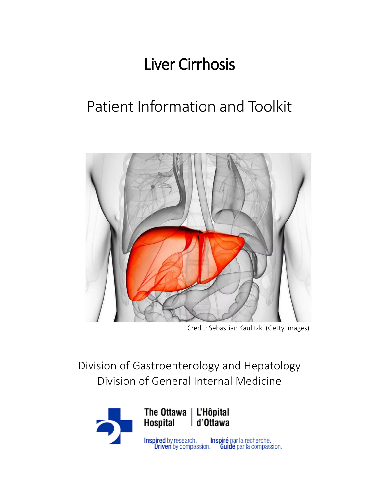# Liver Cirrhosis

# Patient Information and Toolkit



Credit: Sebastian Kaulitzki (Getty Images)

Division of Gastroenterology and Hepatology Division of General Internal Medicine

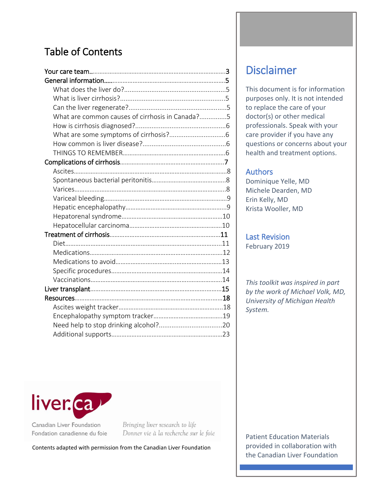# Table of Contents

| What are common causes of cirrhosis in Canada?5 |  |
|-------------------------------------------------|--|
|                                                 |  |
|                                                 |  |
|                                                 |  |
|                                                 |  |
|                                                 |  |
|                                                 |  |
|                                                 |  |
|                                                 |  |
|                                                 |  |
|                                                 |  |
|                                                 |  |
|                                                 |  |
|                                                 |  |
|                                                 |  |
|                                                 |  |
|                                                 |  |
|                                                 |  |
|                                                 |  |
|                                                 |  |
|                                                 |  |
|                                                 |  |
|                                                 |  |
|                                                 |  |
|                                                 |  |



Canadian Liver Foundation Fondation canadienne du foie Bringing liver research to life Donner vie à la recherche sur le foie

Contents adapted with permission from the Canadian Liver Foundation

# Disclaimer

This document is for information purposes only. It is not intended to replace the care of your doctor(s) or other medical professionals. Speak with your care provider if you have any questions or concerns about your health and treatment options.

## Authors

Dominique Yelle, MD Michele Dearden, MD Erin Kelly, MD Krista Wooller, MD

Last Revision February 2019

*This toolkit was inspired in part by the work of Michael Volk, MD, University of Michigan Health System.* 

2 the Canadian Liver Foundation Patient Education Materials provided in collaboration with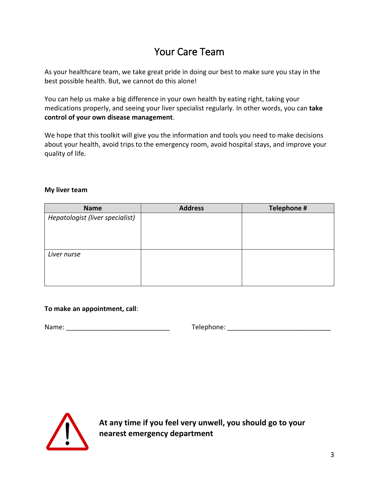# Your Care Team

As your healthcare team, we take great pride in doing our best to make sure you stay in the best possible health. But, we cannot do this alone!

You can help us make a big difference in your own health by eating right, taking your medications properly, and seeing your liver specialist regularly. In other words, you can **take control of your own disease management**.

We hope that this toolkit will give you the information and tools you need to make decisions about your health, avoid trips to the emergency room, avoid hospital stays, and improve your quality of life.

#### **My liver team**

| <b>Name</b>                     | <b>Address</b> | Telephone # |
|---------------------------------|----------------|-------------|
| Hepatologist (liver specialist) |                |             |
|                                 |                |             |
|                                 |                |             |
|                                 |                |             |
| Liver nurse                     |                |             |
|                                 |                |             |
|                                 |                |             |
|                                 |                |             |

#### **To make an appointment, call**:

Name: \_\_\_\_\_\_\_\_\_\_\_\_\_\_\_\_\_\_\_\_\_\_\_\_\_\_\_\_ Telephone: \_\_\_\_\_\_\_\_\_\_\_\_\_\_\_\_\_\_\_\_\_\_\_\_\_\_\_\_



**At any time if you feel very unwell, you should go to your nearest emergency department**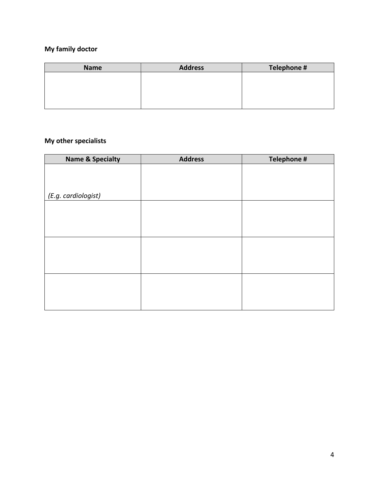# **My family doctor**

| <b>Name</b> | <b>Address</b> | Telephone # |
|-------------|----------------|-------------|
|             |                |             |
|             |                |             |
|             |                |             |
|             |                |             |

# **My other specialists**

| <b>Name &amp; Specialty</b> | <b>Address</b> | Telephone # |
|-----------------------------|----------------|-------------|
|                             |                |             |
|                             |                |             |
|                             |                |             |
| (E.g. cardiologist)         |                |             |
|                             |                |             |
|                             |                |             |
|                             |                |             |
|                             |                |             |
|                             |                |             |
|                             |                |             |
|                             |                |             |
|                             |                |             |
|                             |                |             |
|                             |                |             |
|                             |                |             |
|                             |                |             |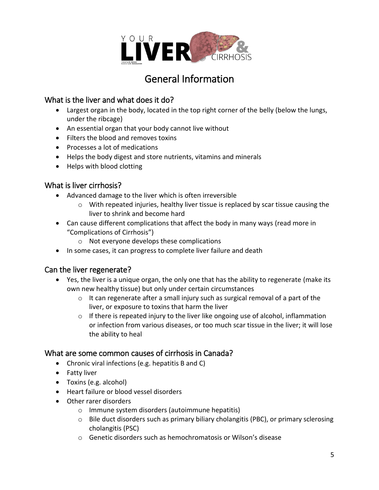

# General Information

# What is the liver and what does it do?

- Largest organ in the body, located in the top right corner of the belly (below the lungs, under the ribcage)
- An essential organ that your body cannot live without
- Filters the blood and removes toxins
- Processes a lot of medications
- Helps the body digest and store nutrients, vitamins and minerals
- Helps with blood clotting

## What is liver cirrhosis?

- Advanced damage to the liver which is often irreversible
	- $\circ$  With repeated injuries, healthy liver tissue is replaced by scar tissue causing the liver to shrink and become hard
- Can cause different complications that affect the body in many ways (read more in "Complications of Cirrhosis")
	- o Not everyone develops these complications
- In some cases, it can progress to complete liver failure and death

# Can the liver regenerate?

- Yes, the liver is a unique organ, the only one that has the ability to regenerate (make its own new healthy tissue) but only under certain circumstances
	- $\circ$  It can regenerate after a small injury such as surgical removal of a part of the liver, or exposure to toxins that harm the liver
	- o If there is repeated injury to the liver like ongoing use of alcohol, inflammation or infection from various diseases, or too much scar tissue in the liver; it will lose the ability to heal

### What are some common causes of cirrhosis in Canada?

- Chronic viral infections (e.g. hepatitis B and C)
- Fatty liver
- Toxins (e.g. alcohol)
- Heart failure or blood vessel disorders
- Other rarer disorders
	- o Immune system disorders (autoimmune hepatitis)
	- $\circ$  Bile duct disorders such as primary biliary cholangitis (PBC), or primary sclerosing cholangitis (PSC)
	- o Genetic disorders such as hemochromatosis or Wilson's disease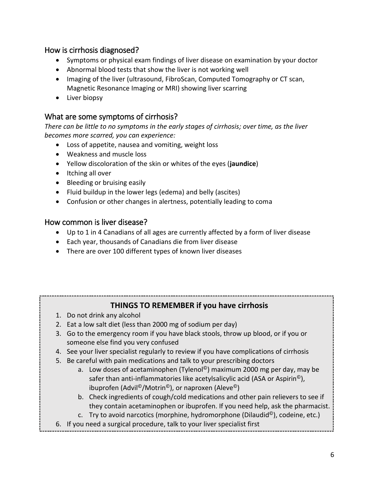## How is cirrhosis diagnosed?

- Symptoms or physical exam findings of liver disease on examination by your doctor
- Abnormal blood tests that show the liver is not working well
- Imaging of the liver (ultrasound, FibroScan, Computed Tomography or CT scan, Magnetic Resonance Imaging or MRI) showing liver scarring
- Liver biopsy

# What are some symptoms of cirrhosis?

*There can be little to no symptoms in the early stages of cirrhosis; over time, as the liver becomes more scarred, you can experience:*

- Loss of appetite, nausea and vomiting, weight loss
- Weakness and muscle loss
- Yellow discoloration of the skin or whites of the eyes (**jaundice**)
- Itching all over
- Bleeding or bruising easily
- Fluid buildup in the lower legs (edema) and belly (ascites)
- Confusion or other changes in alertness, potentially leading to coma

### How common is liver disease?

- Up to 1 in 4 Canadians of all ages are currently affected by a form of liver disease
- Each year, thousands of Canadians die from liver disease
- There are over 100 different types of known liver diseases

# **THINGS TO REMEMBER if you have cirrhosis**

- 1. Do not drink any alcohol
- 2. Eat a low salt diet (less than 2000 mg of sodium per day)
- 3. Go to the emergency room if you have black stools, throw up blood, or if you or someone else find you very confused
- 4. See your liver specialist regularly to review if you have complications of cirrhosis
- 5. Be careful with pain medications and talk to your prescribing doctors
	- a. Low doses of acetaminophen (Tylenol<sup>©</sup>) maximum 2000 mg per day, may be safer than anti-inflammatories like acetylsalicylic acid (ASA or Aspirin $^{\circ}$ ), ibuprofen (Advil©/Motrin©), or naproxen (Aleve©)
	- b. Check ingredients of cough/cold medications and other pain relievers to see if they contain acetaminophen or ibuprofen. If you need help, ask the pharmacist.
	- c. Try to avoid narcotics (morphine, hydromorphone (Dilaudid<sup>©</sup>), codeine, etc.)

Ï

6. If you need a surgical procedure, talk to your liver specialist first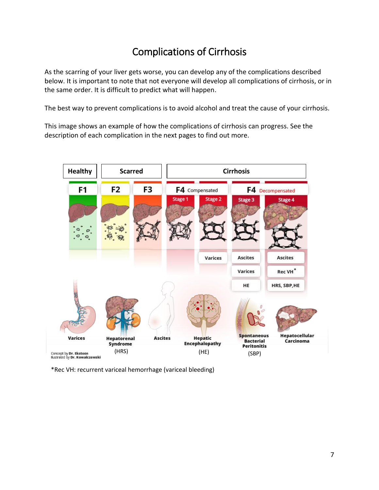# Complications of Cirrhosis

As the scarring of your liver gets worse, you can develop any of the complications described below. It is important to note that not everyone will develop all complications of cirrhosis, or in the same order. It is difficult to predict what will happen.

The best way to prevent complications is to avoid alcohol and treat the cause of your cirrhosis.

This image shows an example of how the complications of cirrhosis can progress. See the description of each complication in the next pages to find out more.



\*Rec VH: recurrent variceal hemorrhage (variceal bleeding)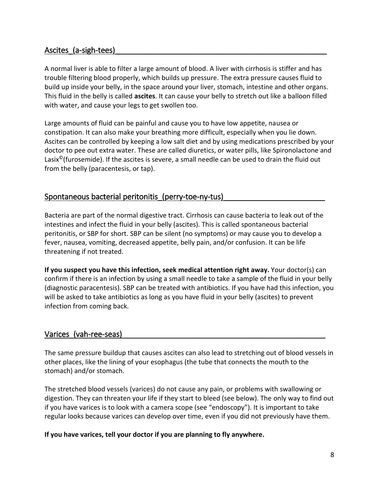### Ascites\_(a-sigh-tees)

A normal liver is able to filter a large amount of blood. A liver with cirrhosis is stiffer and has trouble filtering blood properly, which builds up pressure. The extra pressure causes fluid to build up inside your belly, in the space around your liver, stomach, intestine and other organs. This fluid in the belly is called **ascites**. It can cause your belly to stretch out like a balloon filled with water, and cause your legs to get swollen too.

Large amounts of fluid can be painful and cause you to have low appetite, nausea or constipation. It can also make your breathing more difficult, especially when you lie down. Ascites can be controlled by keeping a low salt diet and by using medications prescribed by your doctor to pee out extra water. These are called diuretics, or water pills, like Spironolactone and Lasix<sup>©</sup>(furosemide). If the ascites is severe, a small needle can be used to drain the fluid out from the belly (paracentesis, or tap).

# Spontaneous bacterial peritonitis\_(perry-toe-ny-tus)\_

Bacteria are part of the normal digestive tract. Cirrhosis can cause bacteria to leak out of the intestines and infect the fluid in your belly (ascites). This is called spontaneous bacterial peritonitis, or SBP for short. SBP can be silent (no symptoms) or may cause you to develop a fever, nausea, vomiting, decreased appetite, belly pain, and/or confusion. It can be life threatening if not treated.

**If you suspect you have this infection, seek medical attention right away.** Your doctor(s) can confirm if there is an infection by using a small needle to take a sample of the fluid in your belly (diagnostic paracentesis). SBP can be treated with antibiotics. If you have had this infection, you will be asked to take antibiotics as long as you have fluid in your belly (ascites) to prevent infection from coming back.

# Varices (vah-ree-seas)

The same pressure buildup that causes ascites can also lead to stretching out of blood vessels in other places, like the lining of your esophagus (the tube that connects the mouth to the stomach) and/or stomach.

The stretched blood vessels (varices) do not cause any pain, or problems with swallowing or digestion. They can threaten your life if they start to bleed (see below). The only way to find out if you have varices is to look with a camera scope (see "endoscopy"). It is important to take regular looks because varices can develop over time, even if you did not previously have them.

**If you have varices, tell your doctor if you are planning to fly anywhere.**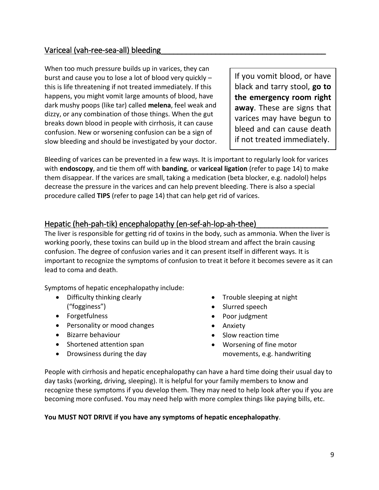# Variceal (vah-ree-sea-all) bleeding

When too much pressure builds up in varices, they can burst and cause you to lose a lot of blood very quickly – this is life threatening if not treated immediately. If this happens, you might vomit large amounts of blood, have dark mushy poops (like tar) called **melena**, feel weak and dizzy, or any combination of those things. When the gut breaks down blood in people with cirrhosis, it can cause confusion. New or worsening confusion can be a sign of slow bleeding and should be investigated by your doctor.

If you vomit blood, or have black and tarry stool, **go to the emergency room right away**. These are signs that varices may have begun to bleed and can cause death if not treated immediately.

Bleeding of varices can be prevented in a few ways. It is important to regularly look for varices with **endoscopy**, and tie them off with **banding**, or **variceal ligation** (refer to page 14) to make them disappear. If the varices are small, taking a medication (beta blocker, e.g. nadolol) helps decrease the pressure in the varices and can help prevent bleeding. There is also a special procedure called **TIPS** (refer to page 14) that can help get rid of varices.

## Hepatic (heh-pah-tik) encephalopathy (en-sef-ah-lop-ah-thee)

The liver is responsible for getting rid of toxins in the body, such as ammonia. When the liver is working poorly, these toxins can build up in the blood stream and affect the brain causing confusion. The degree of confusion varies and it can present itself in different ways. It is important to recognize the symptoms of confusion to treat it before it becomes severe as it can lead to coma and death.

Symptoms of hepatic encephalopathy include:

- Difficulty thinking clearly ("fogginess")
- Forgetfulness
- Personality or mood changes
- Bizarre behaviour
- Shortened attention span
- Drowsiness during the day
- Trouble sleeping at night
- Slurred speech
- Poor judgment
- Anxiety
- Slow reaction time
- Worsening of fine motor movements, e.g. handwriting

People with cirrhosis and hepatic encephalopathy can have a hard time doing their usual day to day tasks (working, driving, sleeping). It is helpful for your family members to know and recognize these symptoms if you develop them. They may need to help look after you if you are becoming more confused. You may need help with more complex things like paying bills, etc.

#### **You MUST NOT DRIVE if you have any symptoms of hepatic encephalopathy**.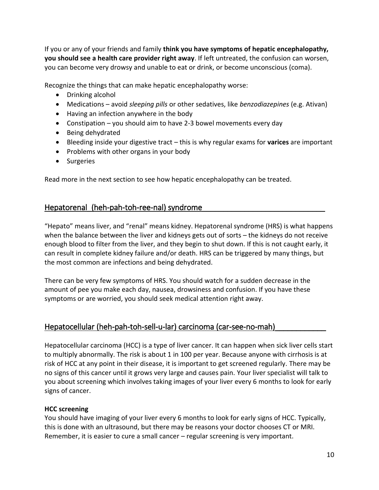If you or any of your friends and family **think you have symptoms of hepatic encephalopathy, you should see a health care provider right away**. If left untreated, the confusion can worsen, you can become very drowsy and unable to eat or drink, or become unconscious (coma).

Recognize the things that can make hepatic encephalopathy worse:

- Drinking alcohol
- Medications avoid *sleeping pills* or other sedatives, like *benzodiazepines* (e.g. Ativan)
- Having an infection anywhere in the body
- Constipation you should aim to have 2-3 bowel movements every day
- Being dehydrated
- Bleeding inside your digestive tract this is why regular exams for **varices** are important
- Problems with other organs in your body
- Surgeries

Read more in the next section to see how hepatic encephalopathy can be treated.

# Hepatorenal\_(heh-pah-toh-ree-nal) syndrome\_

"Hepato" means liver, and "renal" means kidney. Hepatorenal syndrome (HRS) is what happens when the balance between the liver and kidneys gets out of sorts – the kidneys do not receive enough blood to filter from the liver, and they begin to shut down. If this is not caught early, it can result in complete kidney failure and/or death. HRS can be triggered by many things, but the most common are infections and being dehydrated.

There can be very few symptoms of HRS. You should watch for a sudden decrease in the amount of pee you make each day, nausea, drowsiness and confusion. If you have these symptoms or are worried, you should seek medical attention right away.

### Hepatocellular (heh-pah-toh-sell-u-lar) carcinoma (car-see-no-mah)

Hepatocellular carcinoma (HCC) is a type of liver cancer. It can happen when sick liver cells start to multiply abnormally. The risk is about 1 in 100 per year. Because anyone with cirrhosis is at risk of HCC at any point in their disease, it is important to get screened regularly. There may be no signs of this cancer until it grows very large and causes pain. Your liver specialist will talk to you about screening which involves taking images of your liver every 6 months to look for early signs of cancer.

### **HCC screening**

You should have imaging of your liver every 6 months to look for early signs of HCC. Typically, this is done with an ultrasound, but there may be reasons your doctor chooses CT or MRI. Remember, it is easier to cure a small cancer – regular screening is very important.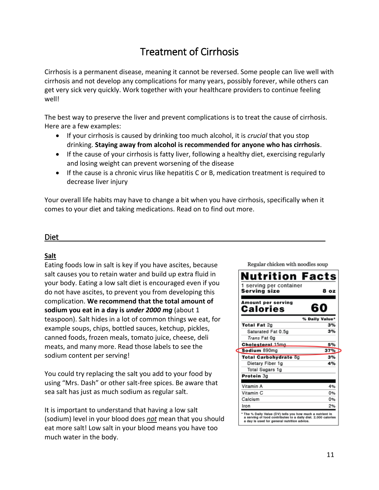# Treatment of Cirrhosis

Cirrhosis is a permanent disease, meaning it cannot be reversed. Some people can live well with cirrhosis and not develop any complications for many years, possibly forever, while others can get very sick very quickly. Work together with your healthcare providers to continue feeling well!

The best way to preserve the liver and prevent complications is to treat the cause of cirrhosis. Here are a few examples:

- If your cirrhosis is caused by drinking too much alcohol, it is *crucial* that you stop drinking. **Staying away from alcohol is recommended for anyone who has cirrhosis**.
- If the cause of your cirrhosis is fatty liver, following a healthy diet, exercising regularly and losing weight can prevent worsening of the disease
- If the cause is a chronic virus like hepatitis C or B, medication treatment is required to decrease liver injury

Your overall life habits may have to change a bit when you have cirrhosis, specifically when it comes to your diet and taking medications. Read on to find out more.

# Diet\_\_\_\_\_\_\_\_\_\_\_\_\_\_\_\_\_\_\_\_\_\_\_\_\_\_\_\_\_\_\_\_\_\_\_\_\_\_\_\_\_\_\_\_\_\_\_\_\_\_\_\_\_\_\_\_\_\_\_\_\_\_\_

### **Salt**

Eating foods low in salt is key if you have ascites, because salt causes you to retain water and build up extra fluid in your body. Eating a low salt diet is encouraged even if you do not have ascites, to prevent you from developing this complication. **We recommend that the total amount of sodium you eat in a day is** *under 2000 mg* (about 1 teaspoon). Salt hides in a lot of common things we eat, for example soups, chips, bottled sauces, ketchup, pickles, canned foods, frozen meals, tomato juice, cheese, deli meats, and many more. Read those labels to see the sodium content per serving!

You could try replacing the salt you add to your food by using "Mrs. Dash" or other salt-free spices. Be aware that sea salt has just as much sodium as regular salt.

It is important to understand that having a low salt (sodium) level in your blood does *not* mean that you should eat more salt! Low salt in your blood means you have too much water in the body.

Regular chicken with noodles soup Nutrition Facts 1 serving per container Serving size 8 oz **Amount per serving** 60 **Calories** % Daily Value\* **Total Fat 2g** 3% 3% Saturated Fat 0.5g Trans Fat 0g **Cholesterol 15mg** 5% 37% Sodium 890mg Total Carbohydrate 8g 3% 4% Dietary Fiber 1g **Total Sugars 1g** Protein 3g Vitamin A 4% Vitamin<sub>C</sub> 0% Calcium 0% Iron 2% \* The % Daily Value (DV) tells you how much a nutrient in<br>a serving of food contributes to a daily diet. 2,000 calorie a day is used for general nutrition advice.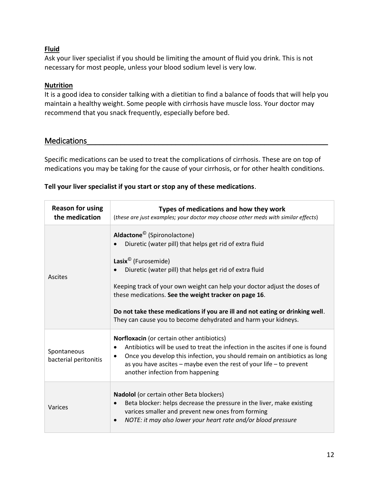### **Fluid**

Ask your liver specialist if you should be limiting the amount of fluid you drink. This is not necessary for most people, unless your blood sodium level is very low.

### **Nutrition**

It is a good idea to consider talking with a dietitian to find a balance of foods that will help you maintain a healthy weight. Some people with cirrhosis have muscle loss. Your doctor may recommend that you snack frequently, especially before bed.

## Medications

Specific medications can be used to treat the complications of cirrhosis. These are on top of medications you may be taking for the cause of your cirrhosis, or for other health conditions.

### **Tell your liver specialist if you start or stop any of these medications**.

| <b>Reason for using</b><br>the medication | Types of medications and how they work<br>(these are just examples; your doctor may choose other meds with similar effects)                                                                                                                                                                                                                                                                                                                                                               |  |  |
|-------------------------------------------|-------------------------------------------------------------------------------------------------------------------------------------------------------------------------------------------------------------------------------------------------------------------------------------------------------------------------------------------------------------------------------------------------------------------------------------------------------------------------------------------|--|--|
| Ascites                                   | Aldactone <sup>©</sup> (Spironolactone)<br>Diuretic (water pill) that helps get rid of extra fluid<br>Lasix <sup>©</sup> (Furosemide)<br>Diuretic (water pill) that helps get rid of extra fluid<br>Keeping track of your own weight can help your doctor adjust the doses of<br>these medications. See the weight tracker on page 16.<br>Do not take these medications if you are ill and not eating or drinking well.<br>They can cause you to become dehydrated and harm your kidneys. |  |  |
| Spontaneous<br>bacterial peritonitis      | Norfloxacin (or certain other antibiotics)<br>Antibiotics will be used to treat the infection in the ascites if one is found<br>٠<br>Once you develop this infection, you should remain on antibiotics as long<br>$\bullet$<br>as you have ascites - maybe even the rest of your life - to prevent<br>another infection from happening                                                                                                                                                    |  |  |
| Varices                                   | Nadolol (or certain other Beta blockers)<br>Beta blocker: helps decrease the pressure in the liver, make existing<br>$\bullet$<br>varices smaller and prevent new ones from forming<br>NOTE: it may also lower your heart rate and/or blood pressure<br>$\bullet$                                                                                                                                                                                                                         |  |  |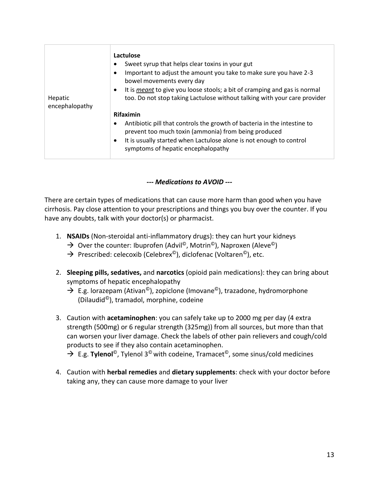| Hepatic<br>encephalopathy | Lactulose<br>Sweet syrup that helps clear toxins in your gut<br>٠<br>Important to adjust the amount you take to make sure you have 2-3<br>$\bullet$<br>bowel movements every day<br>It is <i>meant</i> to give you loose stools; a bit of cramping and gas is normal<br>$\bullet$<br>too. Do not stop taking Lactulose without talking with your care provider |
|---------------------------|----------------------------------------------------------------------------------------------------------------------------------------------------------------------------------------------------------------------------------------------------------------------------------------------------------------------------------------------------------------|
|                           | <b>Rifaximin</b><br>Antibiotic pill that controls the growth of bacteria in the intestine to<br>$\bullet$<br>prevent too much toxin (ammonia) from being produced<br>It is usually started when Lactulose alone is not enough to control<br>$\bullet$<br>symptoms of hepatic encephalopathy                                                                    |

*--- Medications to AVOID ---*

There are certain types of medications that can cause more harm than good when you have cirrhosis. Pay close attention to your prescriptions and things you buy over the counter. If you have any doubts, talk with your doctor(s) or pharmacist.

- 1. **NSAIDs** (Non-steroidal anti-inflammatory drugs): they can hurt your kidneys
	- $\rightarrow$  Over the counter: Ibuprofen (Advil<sup>©</sup>, Motrin<sup>©</sup>), Naproxen (Aleve<sup>©</sup>)
	- $\rightarrow$  Prescribed: celecoxib (Celebrex<sup>©</sup>), diclofenac (Voltaren<sup>©</sup>), etc.
- 2. **Sleeping pills, sedatives,** and **narcotics** (opioid pain medications): they can bring about symptoms of hepatic encephalopathy
	- $\rightarrow$  E.g. lorazepam (Ativan<sup>©</sup>), zopiclone (Imovane<sup>©</sup>), trazadone, hydromorphone (Dilaudid©), tramadol, morphine, codeine
- 3. Caution with **acetaminophen**: you can safely take up to 2000 mg per day (4 extra strength (500mg) or 6 regular strength (325mg)) from all sources, but more than that can worsen your liver damage. Check the labels of other pain relievers and cough/cold products to see if they also contain acetaminophen.

→ E.g. **Tylenol**<sup>©</sup>, Tylenol 3<sup>©</sup> with codeine, Tramacet<sup>©</sup>, some sinus/cold medicines

4. Caution with **herbal remedies** and **dietary supplements**: check with your doctor before taking any, they can cause more damage to your liver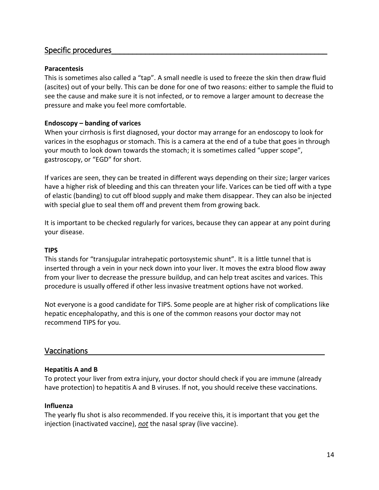### Specific procedures\_\_\_\_\_\_\_\_\_\_\_\_\_\_\_\_\_\_\_\_\_\_\_\_\_\_\_\_\_\_\_\_\_\_\_\_\_\_\_\_\_\_\_\_\_\_\_\_\_\_\_

#### **Paracentesis**

This is sometimes also called a "tap". A small needle is used to freeze the skin then draw fluid (ascites) out of your belly. This can be done for one of two reasons: either to sample the fluid to see the cause and make sure it is not infected, or to remove a larger amount to decrease the pressure and make you feel more comfortable.

#### **Endoscopy – banding of varices**

When your cirrhosis is first diagnosed, your doctor may arrange for an endoscopy to look for varices in the esophagus or stomach. This is a camera at the end of a tube that goes in through your mouth to look down towards the stomach; it is sometimes called "upper scope", gastroscopy, or "EGD" for short.

If varices are seen, they can be treated in different ways depending on their size; larger varices have a higher risk of bleeding and this can threaten your life. Varices can be tied off with a type of elastic (banding) to cut off blood supply and make them disappear. They can also be injected with special glue to seal them off and prevent them from growing back.

It is important to be checked regularly for varices, because they can appear at any point during your disease.

#### **TIPS**

This stands for "transjugular intrahepatic portosystemic shunt". It is a little tunnel that is inserted through a vein in your neck down into your liver. It moves the extra blood flow away from your liver to decrease the pressure buildup, and can help treat ascites and varices. This procedure is usually offered if other less invasive treatment options have not worked.

Not everyone is a good candidate for TIPS. Some people are at higher risk of complications like hepatic encephalopathy, and this is one of the common reasons your doctor may not recommend TIPS for you.

#### Vaccinations

#### **Hepatitis A and B**

To protect your liver from extra injury, your doctor should check if you are immune (already have protection) to hepatitis A and B viruses. If not, you should receive these vaccinations.

#### **Influenza**

The yearly flu shot is also recommended. If you receive this, it is important that you get the injection (inactivated vaccine), *not* the nasal spray (live vaccine).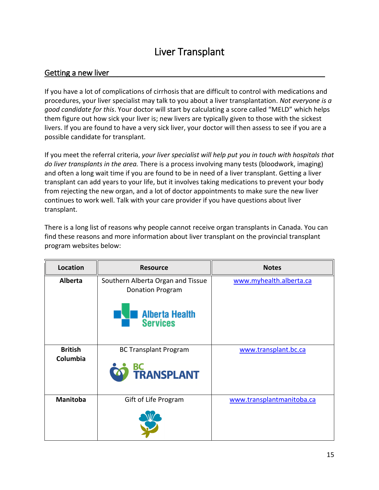# Liver Transplant

### Getting a new liver

If you have a lot of complications of cirrhosis that are difficult to control with medications and procedures, your liver specialist may talk to you about a liver transplantation. *Not everyone is a good candidate for this*. Your doctor will start by calculating a score called "MELD" which helps them figure out how sick your liver is; new livers are typically given to those with the sickest livers. If you are found to have a very sick liver, your doctor will then assess to see if you are a possible candidate for transplant.

If you meet the referral criteria, *your liver specialist will help put you in touch with hospitals that do liver transplants in the area.* There is a process involving many tests (bloodwork, imaging) and often a long wait time if you are found to be in need of a liver transplant. Getting a liver transplant can add years to your life, but it involves taking medications to prevent your body from rejecting the new organ, and a lot of doctor appointments to make sure the new liver continues to work well. Talk with your care provider if you have questions about liver transplant.

There is a long list of reasons why people cannot receive organ transplants in Canada. You can find these reasons and more information about liver transplant on the provincial transplant program websites below:

| Location                   | <b>Resource</b><br><b>Notes</b>                                                                          |                           |
|----------------------------|----------------------------------------------------------------------------------------------------------|---------------------------|
| <b>Alberta</b>             | Southern Alberta Organ and Tissue<br><b>Donation Program</b><br><b>Alberta Health</b><br><b>Services</b> | www.myhealth.alberta.ca   |
| <b>British</b><br>Columbia | <b>BC Transplant Program</b><br><b>BC<br/>TRANSPLANT</b>                                                 | www.transplant.bc.ca      |
| <b>Manitoba</b>            | Gift of Life Program                                                                                     | www.transplantmanitoba.ca |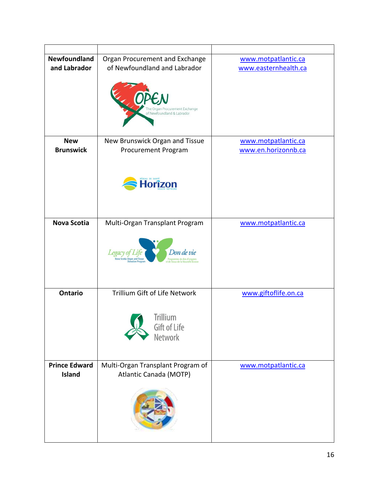| Newfoundland                                 | Organ Procurement and Exchange                                 | www.motpatlantic.ca  |
|----------------------------------------------|----------------------------------------------------------------|----------------------|
| of Newfoundland and Labrador<br>and Labrador |                                                                | www.easternhealth.ca |
|                                              | he Organ Procurement Exchange<br>of Newfoundland & Labrador    |                      |
| <b>New</b>                                   | New Brunswick Organ and Tissue                                 | www.motpatlantic.ca  |
| <b>Brunswick</b>                             | Procurement Program                                            | www.en.horizonnb.ca  |
|                                              | <b>Horîzon</b>                                                 |                      |
| <b>Nova Scotia</b>                           | Multi-Organ Transplant Program                                 | www.motpatlantic.ca  |
|                                              | Don de vie<br><b>Organ and Tissu</b><br>rogramme de don d'orga |                      |
| <b>Ontario</b>                               | Trillium Gift of Life Network                                  | www.giftoflife.on.ca |
|                                              | <b>Trillium</b><br>Gift of Life<br>Network                     |                      |
| <b>Prince Edward</b>                         | Multi-Organ Transplant Program of                              | www.motpatlantic.ca  |
| <b>Island</b>                                | Atlantic Canada (MOTP)                                         |                      |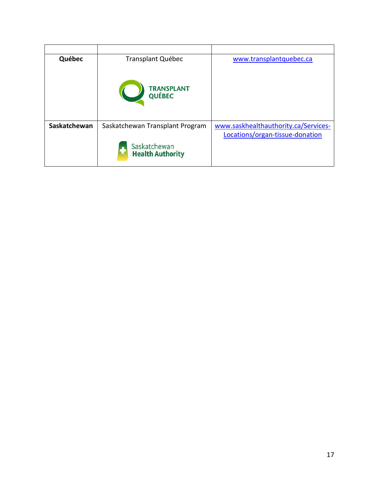| Québec       | <b>Transplant Québec</b>                | www.transplantquebec.ca              |
|--------------|-----------------------------------------|--------------------------------------|
|              | <b>TRANSPLANT</b><br>QUÉBEC             |                                      |
| Saskatchewan | Saskatchewan Transplant Program         | www.saskhealthauthority.ca/Services- |
|              |                                         | Locations/organ-tissue-donation      |
|              | Saskatchewan<br><b>Health Authority</b> |                                      |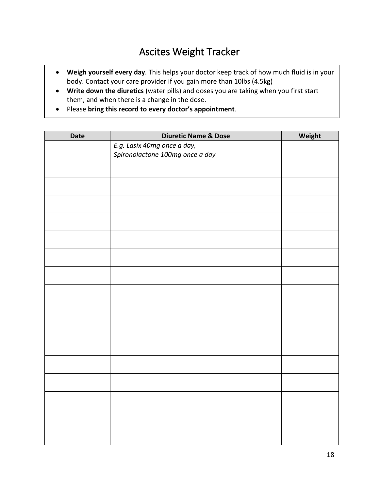# Ascites Weight Tracker

- **Weigh yourself every day**. This helps your doctor keep track of how much fluid is in your body. Contact your care provider if you gain more than 10lbs (4.5kg)
- **Write down the diuretics** (water pills) and doses you are taking when you first start them, and when there is a change in the dose.
- Please **bring this record to every doctor's appointment**.

| <b>Date</b> | <b>Diuretic Name &amp; Dose</b> | Weight |
|-------------|---------------------------------|--------|
|             | E.g. Lasix 40mg once a day,     |        |
|             | Spironolactone 100mg once a day |        |
|             |                                 |        |
|             |                                 |        |
|             |                                 |        |
|             |                                 |        |
|             |                                 |        |
|             |                                 |        |
|             |                                 |        |
|             |                                 |        |
|             |                                 |        |
|             |                                 |        |
|             |                                 |        |
|             |                                 |        |
|             |                                 |        |
|             |                                 |        |
|             |                                 |        |
|             |                                 |        |
|             |                                 |        |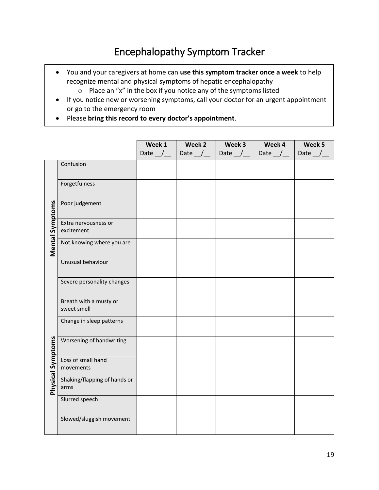# Encephalopathy Symptom Tracker

- You and your caregivers at home can **use this symptom tracker once a week** to help recognize mental and physical symptoms of hepatic encephalopathy o Place an "x" in the box if you notice any of the symptoms listed
- If you notice new or worsening symptoms, call your doctor for an urgent appointment or go to the emergency room
- Please **bring this record to every doctor's appointment**.

|                          |                                       | Week 1 | Week 2                        | Week 3           | Week 4        | Week 5    |
|--------------------------|---------------------------------------|--------|-------------------------------|------------------|---------------|-----------|
|                          |                                       |        | Date $\angle$   Date $\angle$ | Date $_$ $\perp$ | Date $\angle$ | Date $\_$ |
|                          | Confusion                             |        |                               |                  |               |           |
|                          | Forgetfulness                         |        |                               |                  |               |           |
|                          | Poor judgement                        |        |                               |                  |               |           |
| <b>Mental Symptoms</b>   | Extra nervousness or<br>excitement    |        |                               |                  |               |           |
|                          | Not knowing where you are             |        |                               |                  |               |           |
|                          | Unusual behaviour                     |        |                               |                  |               |           |
|                          | Severe personality changes            |        |                               |                  |               |           |
|                          | Breath with a musty or<br>sweet smell |        |                               |                  |               |           |
|                          | Change in sleep patterns              |        |                               |                  |               |           |
| <b>Physical Symptoms</b> | Worsening of handwriting              |        |                               |                  |               |           |
|                          | Loss of small hand<br>movements       |        |                               |                  |               |           |
|                          | Shaking/flapping of hands or<br>arms  |        |                               |                  |               |           |
|                          | Slurred speech                        |        |                               |                  |               |           |
|                          | Slowed/sluggish movement              |        |                               |                  |               |           |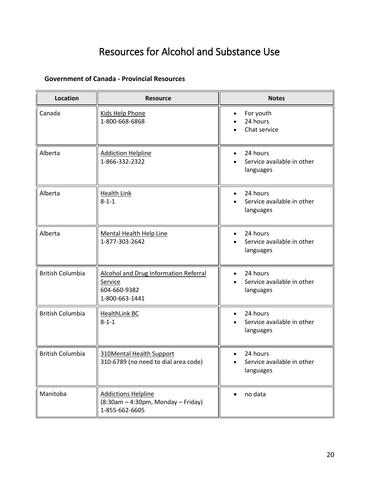# Resources for Alcohol and Substance Use

### **[Government of Canada -](https://www.canada.ca/en/health-canada/services/substance-use/get-help/get-help-problematic-substance-use.html) Provincial Resources**

| <b>Location</b>         | <b>Resource</b>                                                                      | <b>Notes</b>                                                     |  |  |
|-------------------------|--------------------------------------------------------------------------------------|------------------------------------------------------------------|--|--|
| Canada                  | Kids Help Phone<br>1-800-668-6868                                                    | For youth<br>٠<br>24 hours<br>Chat service                       |  |  |
| Alberta                 | <b>Addiction Helpline</b><br>1-866-332-2322                                          | 24 hours<br>$\bullet$<br>Service available in other<br>languages |  |  |
| Alberta                 | <b>Health Link</b><br>$8 - 1 - 1$                                                    | 24 hours<br>Service available in other<br>languages              |  |  |
| Alberta                 | <b>Mental Health Help Line</b><br>1-877-303-2642                                     | 24 hours<br>$\bullet$<br>Service available in other<br>languages |  |  |
| <b>British Columbia</b> | Alcohol and Drug Information Referral<br>Service<br>604-660-9382<br>1-800-663-1441   | 24 hours<br>Service available in other<br>languages              |  |  |
| <b>British Columbia</b> | <b>HealthLink BC</b><br>$8 - 1 - 1$                                                  | 24 hours<br>$\bullet$<br>Service available in other<br>languages |  |  |
| <b>British Columbia</b> | <b>310Mental Health Support</b><br>310-6789 (no need to dial area code)              | 24 hours<br>Service available in other<br>languages              |  |  |
| Manitoba                | <b>Addictions Helpline</b><br>$(8:30am - 4:30pm, Monday - Friday)$<br>1-855-662-6605 | no data                                                          |  |  |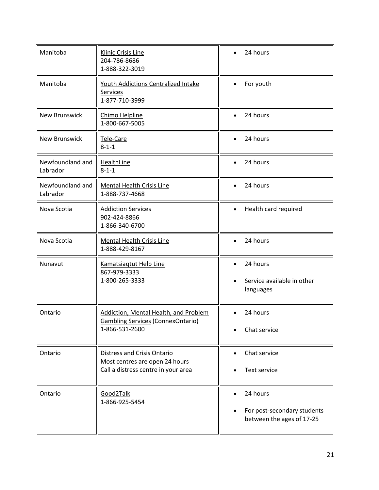| Manitoba                     | <b>Klinic Crisis Line</b><br>204-786-8686<br>1-888-322-3019                                                 | 24 hours                                                             |
|------------------------------|-------------------------------------------------------------------------------------------------------------|----------------------------------------------------------------------|
| Manitoba                     | Youth Addictions Centralized Intake<br>Services<br>1-877-710-3999                                           | For youth<br>$\bullet$                                               |
| <b>New Brunswick</b>         | Chimo Helpline<br>1-800-667-5005                                                                            | 24 hours                                                             |
| <b>New Brunswick</b>         | Tele-Care<br>$8 - 1 - 1$                                                                                    | 24 hours                                                             |
| Newfoundland and<br>Labrador | <b>HealthLine</b><br>$8 - 1 - 1$                                                                            | 24 hours<br>$\bullet$                                                |
| Newfoundland and<br>Labrador | Mental Health Crisis Line<br>1-888-737-4668                                                                 | 24 hours<br>$\bullet$                                                |
| Nova Scotia                  | <b>Addiction Services</b><br>902-424-8866<br>1-866-340-6700                                                 | Health card required<br>$\bullet$                                    |
| Nova Scotia                  | <b>Mental Health Crisis Line</b><br>1-888-429-8167                                                          | 24 hours                                                             |
| Nunavut                      | Kamatsiagtut Help Line<br>867-979-3333<br>1-800-265-3333                                                    | 24 hours<br>Service available in other<br>languages                  |
| Ontario                      | Addiction, Mental Health, and Problem<br><b>Gambling Services (ConnexOntario)</b><br>1-866-531-2600         | 24 hours<br>$\bullet$<br>Chat service                                |
| Ontario                      | <b>Distress and Crisis Ontario</b><br>Most centres are open 24 hours<br>Call a distress centre in your area | Chat service<br>Text service                                         |
| Ontario                      | Good2Talk<br>1-866-925-5454                                                                                 | 24 hours<br>For post-secondary students<br>between the ages of 17-25 |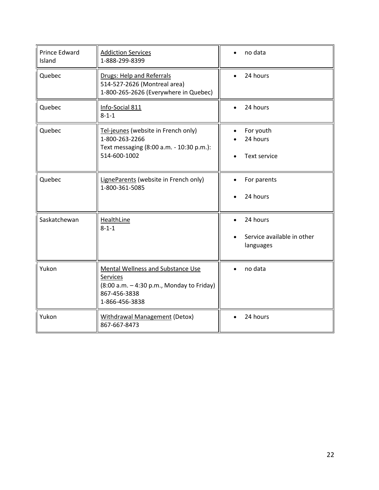| <b>Prince Edward</b><br>Island | <b>Addiction Services</b><br>1-888-299-8399                                                                                                | no data                                             |
|--------------------------------|--------------------------------------------------------------------------------------------------------------------------------------------|-----------------------------------------------------|
| Quebec                         | <b>Drugs: Help and Referrals</b><br>514-527-2626 (Montreal area)<br>1-800-265-2626 (Everywhere in Quebec)                                  | 24 hours                                            |
| Quebec                         | Info-Social 811<br>$8 - 1 - 1$                                                                                                             | 24 hours                                            |
| Quebec                         | Tel-jeunes (website in French only)<br>1-800-263-2266<br>Text messaging (8:00 a.m. - 10:30 p.m.):<br>514-600-1002                          | For youth<br>$\bullet$<br>24 hours<br>Text service  |
| Quebec                         | LigneParents (website in French only)<br>1-800-361-5085                                                                                    | For parents<br>24 hours                             |
| Saskatchewan                   | <b>HealthLine</b><br>$8 - 1 - 1$                                                                                                           | 24 hours<br>Service available in other<br>languages |
| Yukon                          | <b>Mental Wellness and Substance Use</b><br><b>Services</b><br>(8:00 a.m. - 4:30 p.m., Monday to Friday)<br>867-456-3838<br>1-866-456-3838 | no data                                             |
| Yukon                          | <b>Withdrawal Management (Detox)</b><br>867-667-8473                                                                                       | 24 hours                                            |